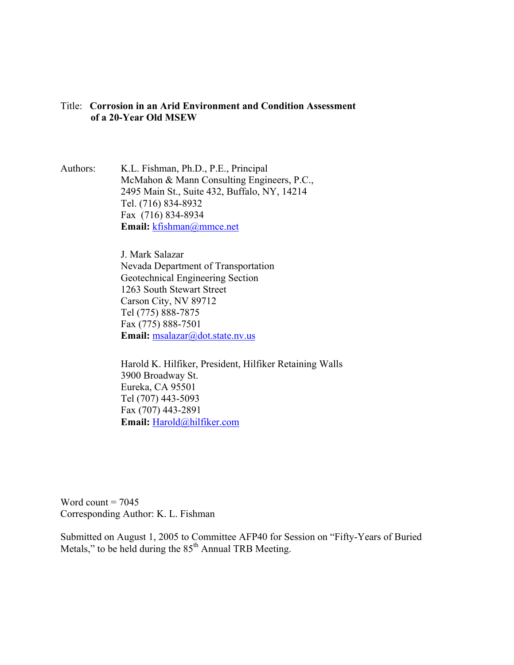## Title: **Corrosion in an Arid Environment and Condition Assessment of a 20-Year Old MSEW**

Authors: K.L. Fishman, Ph.D., P.E., Principal McMahon & Mann Consulting Engineers, P.C., 2495 Main St., Suite 432, Buffalo, NY, 14214 Tel. (716) 834-8932 Fax (716) 834-8934 **Email:** kfishman@mmce.net

> J. Mark Salazar Nevada Department of Transportation Geotechnical Engineering Section 1263 South Stewart Street Carson City, NV 89712 Tel (775) 888-7875 Fax (775) 888-7501 Email: msalazar@dot.state.nv.us

Harold K. Hilfiker, President, Hilfiker Retaining Walls 3900 Broadway St. Eureka, CA 95501 Tel (707) 443-5093 Fax (707) 443-2891 **Email:** Harold@hilfiker.com

Word count  $= 7045$ Corresponding Author: K. L. Fishman

Submitted on August 1, 2005 to Committee AFP40 for Session on "Fifty-Years of Buried Metals," to be held during the  $85<sup>th</sup>$  Annual TRB Meeting.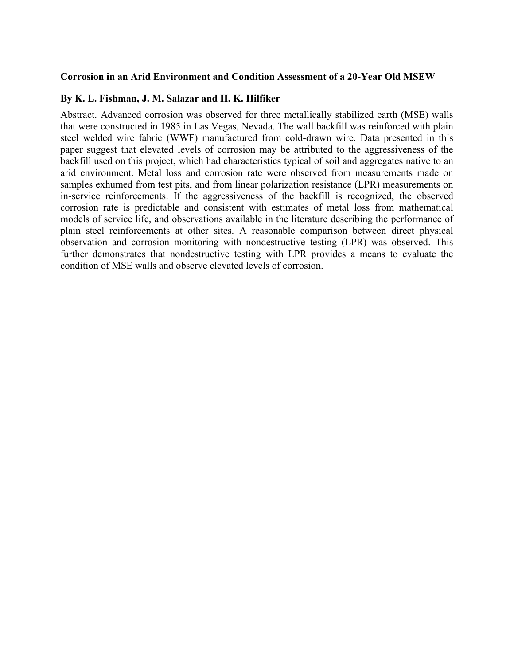### **Corrosion in an Arid Environment and Condition Assessment of a 20-Year Old MSEW**

## **By K. L. Fishman, J. M. Salazar and H. K. Hilfiker**

Abstract. Advanced corrosion was observed for three metallically stabilized earth (MSE) walls that were constructed in 1985 in Las Vegas, Nevada. The wall backfill was reinforced with plain steel welded wire fabric (WWF) manufactured from cold-drawn wire. Data presented in this paper suggest that elevated levels of corrosion may be attributed to the aggressiveness of the backfill used on this project, which had characteristics typical of soil and aggregates native to an arid environment. Metal loss and corrosion rate were observed from measurements made on samples exhumed from test pits, and from linear polarization resistance (LPR) measurements on in-service reinforcements. If the aggressiveness of the backfill is recognized, the observed corrosion rate is predictable and consistent with estimates of metal loss from mathematical models of service life, and observations available in the literature describing the performance of plain steel reinforcements at other sites. A reasonable comparison between direct physical observation and corrosion monitoring with nondestructive testing (LPR) was observed. This further demonstrates that nondestructive testing with LPR provides a means to evaluate the condition of MSE walls and observe elevated levels of corrosion.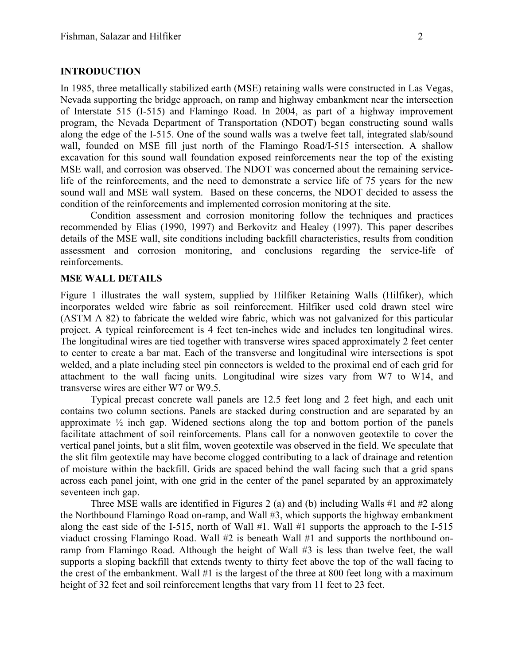## **INTRODUCTION**

In 1985, three metallically stabilized earth (MSE) retaining walls were constructed in Las Vegas, Nevada supporting the bridge approach, on ramp and highway embankment near the intersection of Interstate 515 (I-515) and Flamingo Road. In 2004, as part of a highway improvement program, the Nevada Department of Transportation (NDOT) began constructing sound walls along the edge of the I-515. One of the sound walls was a twelve feet tall, integrated slab/sound wall, founded on MSE fill just north of the Flamingo Road/I-515 intersection. A shallow excavation for this sound wall foundation exposed reinforcements near the top of the existing MSE wall, and corrosion was observed. The NDOT was concerned about the remaining servicelife of the reinforcements, and the need to demonstrate a service life of 75 years for the new sound wall and MSE wall system. Based on these concerns, the NDOT decided to assess the condition of the reinforcements and implemented corrosion monitoring at the site.

Condition assessment and corrosion monitoring follow the techniques and practices recommended by Elias (1990, 1997) and Berkovitz and Healey (1997). This paper describes details of the MSE wall, site conditions including backfill characteristics, results from condition assessment and corrosion monitoring, and conclusions regarding the service-life of reinforcements.

#### **MSE WALL DETAILS**

Figure 1 illustrates the wall system, supplied by Hilfiker Retaining Walls (Hilfiker), which incorporates welded wire fabric as soil reinforcement. Hilfiker used cold drawn steel wire (ASTM A 82) to fabricate the welded wire fabric, which was not galvanized for this particular project. A typical reinforcement is 4 feet ten-inches wide and includes ten longitudinal wires. The longitudinal wires are tied together with transverse wires spaced approximately 2 feet center to center to create a bar mat. Each of the transverse and longitudinal wire intersections is spot welded, and a plate including steel pin connectors is welded to the proximal end of each grid for attachment to the wall facing units. Longitudinal wire sizes vary from W7 to W14, and transverse wires are either W7 or W9.5.

Typical precast concrete wall panels are 12.5 feet long and 2 feet high, and each unit contains two column sections. Panels are stacked during construction and are separated by an approximate  $\frac{1}{2}$  inch gap. Widened sections along the top and bottom portion of the panels facilitate attachment of soil reinforcements. Plans call for a nonwoven geotextile to cover the vertical panel joints, but a slit film, woven geotextile was observed in the field. We speculate that the slit film geotextile may have become clogged contributing to a lack of drainage and retention of moisture within the backfill. Grids are spaced behind the wall facing such that a grid spans across each panel joint, with one grid in the center of the panel separated by an approximately seventeen inch gap.

Three MSE walls are identified in Figures 2 (a) and (b) including Walls #1 and #2 along the Northbound Flamingo Road on-ramp, and Wall #3, which supports the highway embankment along the east side of the I-515, north of Wall #1. Wall #1 supports the approach to the I-515 viaduct crossing Flamingo Road. Wall #2 is beneath Wall #1 and supports the northbound onramp from Flamingo Road. Although the height of Wall #3 is less than twelve feet, the wall supports a sloping backfill that extends twenty to thirty feet above the top of the wall facing to the crest of the embankment. Wall #1 is the largest of the three at 800 feet long with a maximum height of 32 feet and soil reinforcement lengths that vary from 11 feet to 23 feet.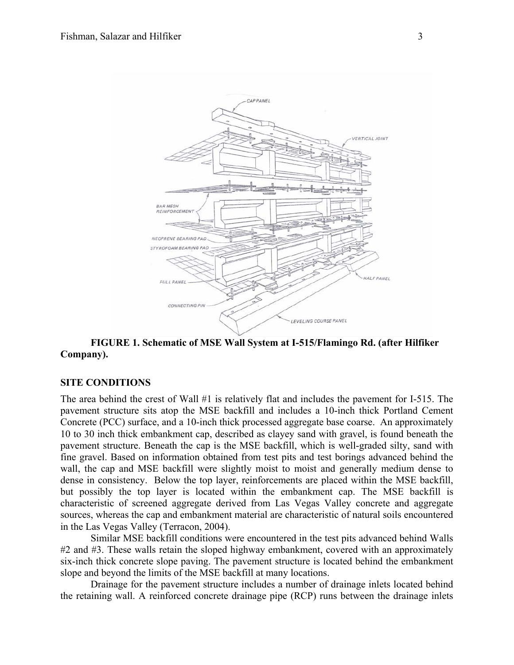

**FIGURE 1. Schematic of MSE Wall System at I-515/Flamingo Rd. (after Hilfiker Company).** 

## **SITE CONDITIONS**

The area behind the crest of Wall #1 is relatively flat and includes the pavement for I-515. The pavement structure sits atop the MSE backfill and includes a 10-inch thick Portland Cement Concrete (PCC) surface, and a 10-inch thick processed aggregate base coarse. An approximately 10 to 30 inch thick embankment cap, described as clayey sand with gravel, is found beneath the pavement structure. Beneath the cap is the MSE backfill, which is well-graded silty, sand with fine gravel. Based on information obtained from test pits and test borings advanced behind the wall, the cap and MSE backfill were slightly moist to moist and generally medium dense to dense in consistency. Below the top layer, reinforcements are placed within the MSE backfill, but possibly the top layer is located within the embankment cap. The MSE backfill is characteristic of screened aggregate derived from Las Vegas Valley concrete and aggregate sources, whereas the cap and embankment material are characteristic of natural soils encountered in the Las Vegas Valley (Terracon, 2004).

Similar MSE backfill conditions were encountered in the test pits advanced behind Walls #2 and #3. These walls retain the sloped highway embankment, covered with an approximately six-inch thick concrete slope paving. The pavement structure is located behind the embankment slope and beyond the limits of the MSE backfill at many locations.

Drainage for the pavement structure includes a number of drainage inlets located behind the retaining wall. A reinforced concrete drainage pipe (RCP) runs between the drainage inlets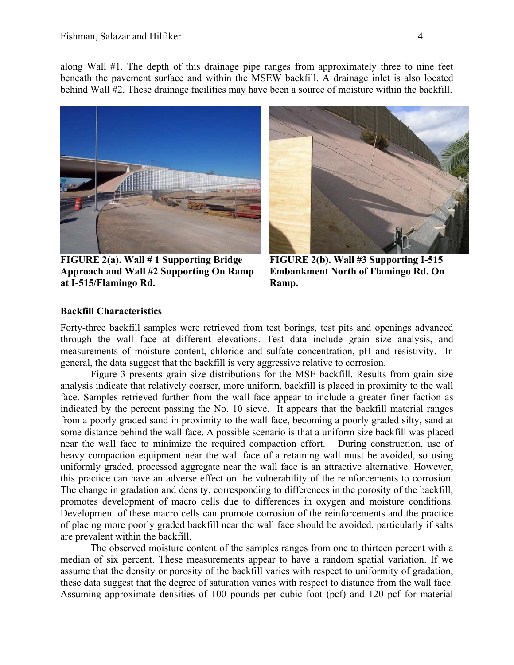along Wall #1. The depth of this drainage pipe ranges from approximately three to nine feet beneath the pavement surface and within the MSEW backfill. A drainage inlet is also located behind Wall #2. These drainage facilities may have been a source of moisture within the backfill.



**FIGURE 2(a). Wall # 1 Supporting Bridge Approach and Wall #2 Supporting On Ramp at I-515/Flamingo Rd.** 



**FIGURE 2(b). Wall #3 Supporting I-515 Embankment North of Flamingo Rd. On Ramp.** 

## **Backfill Characteristics**

Forty-three backfill samples were retrieved from test borings, test pits and openings advanced through the wall face at different elevations. Test data include grain size analysis, and measurements of moisture content, chloride and sulfate concentration, pH and resistivity. In general, the data suggest that the backfill is very aggressive relative to corrosion.

Figure 3 presents grain size distributions for the MSE backfill. Results from grain size analysis indicate that relatively coarser, more uniform, backfill is placed in proximity to the wall face. Samples retrieved further from the wall face appear to include a greater finer faction as indicated by the percent passing the No. 10 sieve. It appears that the backfill material ranges from a poorly graded sand in proximity to the wall face, becoming a poorly graded silty, sand at some distance behind the wall face. A possible scenario is that a uniform size backfill was placed near the wall face to minimize the required compaction effort. During construction, use of heavy compaction equipment near the wall face of a retaining wall must be avoided, so using uniformly graded, processed aggregate near the wall face is an attractive alternative. However, this practice can have an adverse effect on the vulnerability of the reinforcements to corrosion. The change in gradation and density, corresponding to differences in the porosity of the backfill, promotes development of macro cells due to differences in oxygen and moisture conditions. Development of these macro cells can promote corrosion of the reinforcements and the practice of placing more poorly graded backfill near the wall face should be avoided, particularly if salts are prevalent within the backfill.

The observed moisture content of the samples ranges from one to thirteen percent with a median of six percent. These measurements appear to have a random spatial variation. If we assume that the density or porosity of the backfill varies with respect to uniformity of gradation, these data suggest that the degree of saturation varies with respect to distance from the wall face. Assuming approximate densities of 100 pounds per cubic foot (pcf) and 120 pcf for material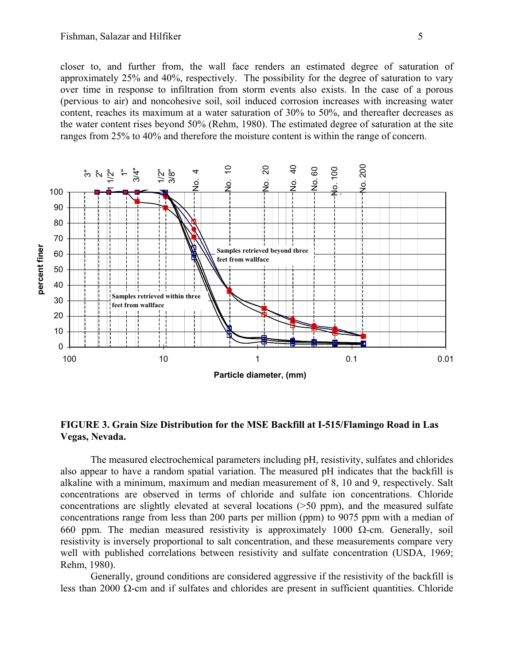closer to, and further from, the wall face renders an estimated degree of saturation of approximately 25% and 40%, respectively. The possibility for the degree of saturation to vary over time in response to infiltration from storm events also exists. In the case of a porous (pervious to air) and noncohesive soil, soil induced corrosion increases with increasing water content, reaches its maximum at a water saturation of 30% to 50%, and thereafter decreases as the water content rises beyond 50% (Rehm, 1980). The estimated degree of saturation at the site ranges from 25% to 40% and therefore the moisture content is within the range of concern.



**FIGURE 3. Grain Size Distribution for the MSE Backfill at I-515/Flamingo Road in Las Vegas, Nevada.** 

The measured electrochemical parameters including pH, resistivity, sulfates and chlorides also appear to have a random spatial variation. The measured pH indicates that the backfill is alkaline with a minimum, maximum and median measurement of 8, 10 and 9, respectively. Salt concentrations are observed in terms of chloride and sulfate ion concentrations. Chloride concentrations are slightly elevated at several locations (>50 ppm), and the measured sulfate concentrations range from less than 200 parts per million (ppm) to 9075 ppm with a median of 660 ppm. The median measured resistivity is approximately 1000  $\Omega$ -cm. Generally, soil resistivity is inversely proportional to salt concentration, and these measurements compare very well with published correlations between resistivity and sulfate concentration (USDA, 1969; Rehm, 1980).

Generally, ground conditions are considered aggressive if the resistivity of the backfill is less than 2000 Ω-cm and if sulfates and chlorides are present in sufficient quantities. Chloride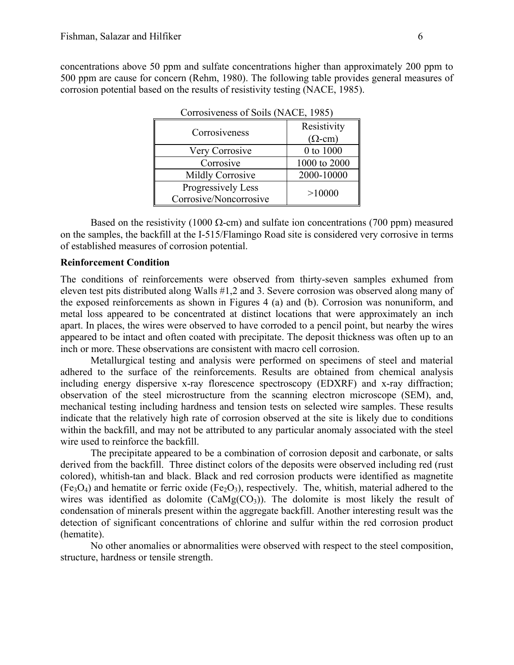concentrations above 50 ppm and sulfate concentrations higher than approximately 200 ppm to 500 ppm are cause for concern (Rehm, 1980). The following table provides general measures of corrosion potential based on the results of resistivity testing (NACE, 1985).

| Corrosiveness           | Resistivity<br>$(\Omega$ -cm) |
|-------------------------|-------------------------------|
| Very Corrosive          | 0 to 1000                     |
| Corrosive               | 1000 to 2000                  |
| <b>Mildly Corrosive</b> | 2000-10000                    |
| Progressively Less      | >10000                        |
| Corrosive/Noncorrosive  |                               |

Corrosiveness of Soils (NACE, 1985)

Based on the resistivity (1000  $\Omega$ -cm) and sulfate ion concentrations (700 ppm) measured on the samples, the backfill at the I-515/Flamingo Road site is considered very corrosive in terms of established measures of corrosion potential.

#### **Reinforcement Condition**

The conditions of reinforcements were observed from thirty-seven samples exhumed from eleven test pits distributed along Walls #1,2 and 3. Severe corrosion was observed along many of the exposed reinforcements as shown in Figures 4 (a) and (b). Corrosion was nonuniform, and metal loss appeared to be concentrated at distinct locations that were approximately an inch apart. In places, the wires were observed to have corroded to a pencil point, but nearby the wires appeared to be intact and often coated with precipitate. The deposit thickness was often up to an inch or more. These observations are consistent with macro cell corrosion.

Metallurgical testing and analysis were performed on specimens of steel and material adhered to the surface of the reinforcements. Results are obtained from chemical analysis including energy dispersive x-ray florescence spectroscopy (EDXRF) and x-ray diffraction; observation of the steel microstructure from the scanning electron microscope (SEM), and, mechanical testing including hardness and tension tests on selected wire samples. These results indicate that the relatively high rate of corrosion observed at the site is likely due to conditions within the backfill, and may not be attributed to any particular anomaly associated with the steel wire used to reinforce the backfill.

The precipitate appeared to be a combination of corrosion deposit and carbonate, or salts derived from the backfill. Three distinct colors of the deposits were observed including red (rust colored), whitish-tan and black. Black and red corrosion products were identified as magnetite  $(Fe<sub>3</sub>O<sub>4</sub>)$  and hematite or ferric oxide  $(Fe<sub>2</sub>O<sub>3</sub>)$ , respectively. The, whitish, material adhered to the wires was identified as dolomite  $(CaMg(CO_3))$ . The dolomite is most likely the result of condensation of minerals present within the aggregate backfill. Another interesting result was the detection of significant concentrations of chlorine and sulfur within the red corrosion product (hematite).

No other anomalies or abnormalities were observed with respect to the steel composition, structure, hardness or tensile strength.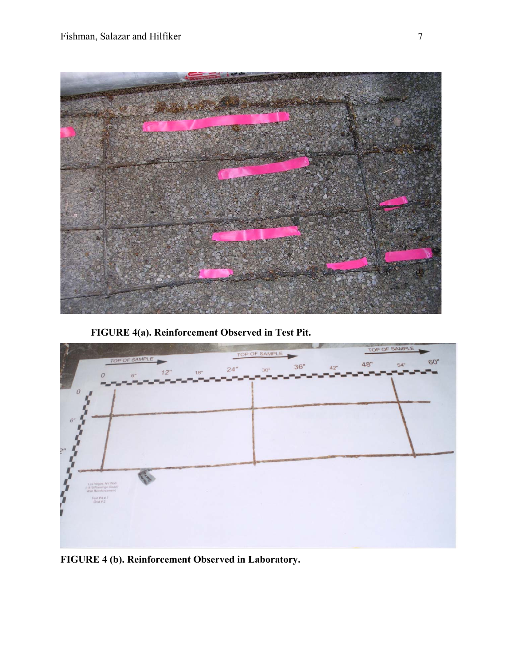

**FIGURE 4(a). Reinforcement Observed in Test Pit.** 



**FIGURE 4 (b). Reinforcement Observed in Laboratory.**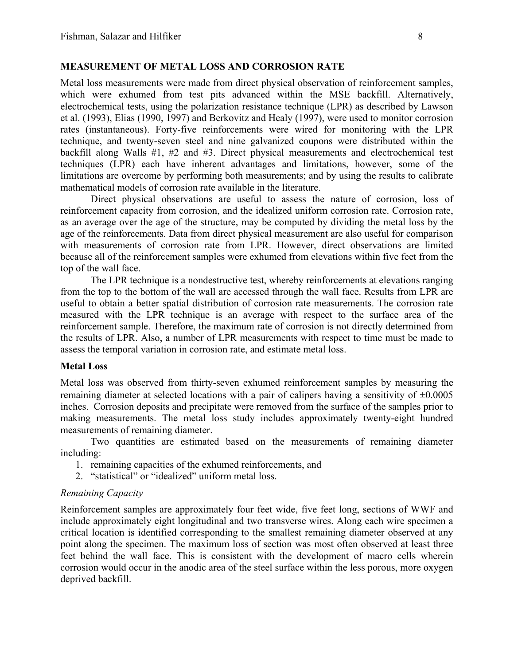## **MEASUREMENT OF METAL LOSS AND CORROSION RATE**

Metal loss measurements were made from direct physical observation of reinforcement samples, which were exhumed from test pits advanced within the MSE backfill. Alternatively, electrochemical tests, using the polarization resistance technique (LPR) as described by Lawson et al. (1993), Elias (1990, 1997) and Berkovitz and Healy (1997), were used to monitor corrosion rates (instantaneous). Forty-five reinforcements were wired for monitoring with the LPR technique, and twenty-seven steel and nine galvanized coupons were distributed within the backfill along Walls #1, #2 and #3. Direct physical measurements and electrochemical test techniques (LPR) each have inherent advantages and limitations, however, some of the limitations are overcome by performing both measurements; and by using the results to calibrate mathematical models of corrosion rate available in the literature.

Direct physical observations are useful to assess the nature of corrosion, loss of reinforcement capacity from corrosion, and the idealized uniform corrosion rate. Corrosion rate, as an average over the age of the structure, may be computed by dividing the metal loss by the age of the reinforcements. Data from direct physical measurement are also useful for comparison with measurements of corrosion rate from LPR. However, direct observations are limited because all of the reinforcement samples were exhumed from elevations within five feet from the top of the wall face.

The LPR technique is a nondestructive test, whereby reinforcements at elevations ranging from the top to the bottom of the wall are accessed through the wall face. Results from LPR are useful to obtain a better spatial distribution of corrosion rate measurements. The corrosion rate measured with the LPR technique is an average with respect to the surface area of the reinforcement sample. Therefore, the maximum rate of corrosion is not directly determined from the results of LPR. Also, a number of LPR measurements with respect to time must be made to assess the temporal variation in corrosion rate, and estimate metal loss.

## **Metal Loss**

Metal loss was observed from thirty-seven exhumed reinforcement samples by measuring the remaining diameter at selected locations with a pair of calipers having a sensitivity of ±0.0005 inches. Corrosion deposits and precipitate were removed from the surface of the samples prior to making measurements. The metal loss study includes approximately twenty-eight hundred measurements of remaining diameter.

Two quantities are estimated based on the measurements of remaining diameter including:

- 1. remaining capacities of the exhumed reinforcements, and
- 2. "statistical" or "idealized" uniform metal loss.

#### *Remaining Capacity*

Reinforcement samples are approximately four feet wide, five feet long, sections of WWF and include approximately eight longitudinal and two transverse wires. Along each wire specimen a critical location is identified corresponding to the smallest remaining diameter observed at any point along the specimen. The maximum loss of section was most often observed at least three feet behind the wall face. This is consistent with the development of macro cells wherein corrosion would occur in the anodic area of the steel surface within the less porous, more oxygen deprived backfill.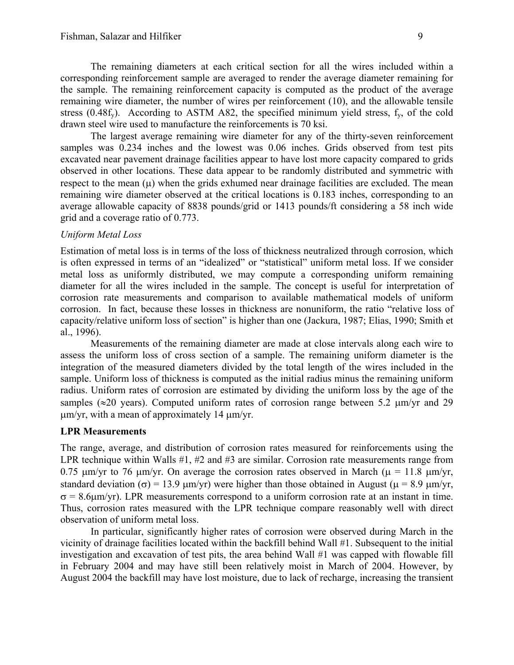The remaining diameters at each critical section for all the wires included within a corresponding reinforcement sample are averaged to render the average diameter remaining for the sample. The remaining reinforcement capacity is computed as the product of the average remaining wire diameter, the number of wires per reinforcement (10), and the allowable tensile stress  $(0.48f_y)$ . According to ASTM A82, the specified minimum yield stress,  $f_y$  of the cold drawn steel wire used to manufacture the reinforcements is 70 ksi.

The largest average remaining wire diameter for any of the thirty-seven reinforcement samples was 0.234 inches and the lowest was 0.06 inches. Grids observed from test pits excavated near pavement drainage facilities appear to have lost more capacity compared to grids observed in other locations. These data appear to be randomly distributed and symmetric with respect to the mean  $(\mu)$  when the grids exhumed near drainage facilities are excluded. The mean remaining wire diameter observed at the critical locations is 0.183 inches, corresponding to an average allowable capacity of 8838 pounds/grid or 1413 pounds/ft considering a 58 inch wide grid and a coverage ratio of 0.773.

### *Uniform Metal Loss*

Estimation of metal loss is in terms of the loss of thickness neutralized through corrosion, which is often expressed in terms of an "idealized" or "statistical" uniform metal loss. If we consider metal loss as uniformly distributed, we may compute a corresponding uniform remaining diameter for all the wires included in the sample. The concept is useful for interpretation of corrosion rate measurements and comparison to available mathematical models of uniform corrosion. In fact, because these losses in thickness are nonuniform, the ratio "relative loss of capacity/relative uniform loss of section" is higher than one (Jackura, 1987; Elias, 1990; Smith et al., 1996).

Measurements of the remaining diameter are made at close intervals along each wire to assess the uniform loss of cross section of a sample. The remaining uniform diameter is the integration of the measured diameters divided by the total length of the wires included in the sample. Uniform loss of thickness is computed as the initial radius minus the remaining uniform radius. Uniform rates of corrosion are estimated by dividing the uniform loss by the age of the samples ( $\approx$ 20 years). Computed uniform rates of corrosion range between 5.2  $\mu$ m/yr and 29  $\mu$ m/yr, with a mean of approximately 14  $\mu$ m/yr.

#### **LPR Measurements**

The range, average, and distribution of corrosion rates measured for reinforcements using the LPR technique within Walls #1, #2 and #3 are similar. Corrosion rate measurements range from 0.75  $\mu$ m/yr to 76  $\mu$ m/yr. On average the corrosion rates observed in March ( $\mu$  = 11.8  $\mu$ m/yr, standard deviation ( $\sigma$ ) = 13.9  $\mu$ m/yr) were higher than those obtained in August ( $\mu$  = 8.9  $\mu$ m/yr,  $\sigma = 8.6 \mu m/yr$ ). LPR measurements correspond to a uniform corrosion rate at an instant in time. Thus, corrosion rates measured with the LPR technique compare reasonably well with direct observation of uniform metal loss.

In particular, significantly higher rates of corrosion were observed during March in the vicinity of drainage facilities located within the backfill behind Wall #1. Subsequent to the initial investigation and excavation of test pits, the area behind Wall #1 was capped with flowable fill in February 2004 and may have still been relatively moist in March of 2004. However, by August 2004 the backfill may have lost moisture, due to lack of recharge, increasing the transient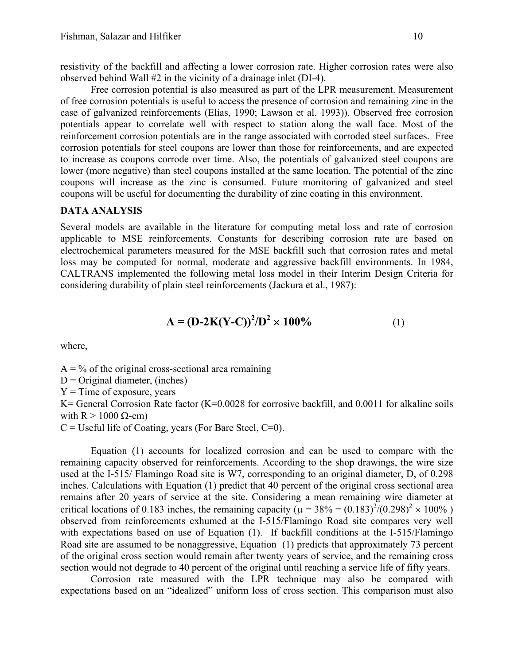resistivity of the backfill and affecting a lower corrosion rate. Higher corrosion rates were also observed behind Wall #2 in the vicinity of a drainage inlet (DI-4).

Free corrosion potential is also measured as part of the LPR measurement. Measurement of free corrosion potentials is useful to access the presence of corrosion and remaining zinc in the case of galvanized reinforcements (Elias, 1990; Lawson et al. 1993)). Observed free corrosion potentials appear to correlate well with respect to station along the wall face. Most of the reinforcement corrosion potentials are in the range associated with corroded steel surfaces. Free corrosion potentials for steel coupons are lower than those for reinforcements, and are expected to increase as coupons corrode over time. Also, the potentials of galvanized steel coupons are lower (more negative) than steel coupons installed at the same location. The potential of the zinc coupons will increase as the zinc is consumed. Future monitoring of galvanized and steel coupons will be useful for documenting the durability of zinc coating in this environment.

### **DATA ANALYSIS**

Several models are available in the literature for computing metal loss and rate of corrosion applicable to MSE reinforcements. Constants for describing corrosion rate are based on electrochemical parameters measured for the MSE backfill such that corrosion rates and metal loss may be computed for normal, moderate and aggressive backfill environments. In 1984, CALTRANS implemented the following metal loss model in their Interim Design Criteria for considering durability of plain steel reinforcements (Jackura et al., 1987):

$$
A = (D-2K(Y-C))^{2}/D^{2} \times 100\%
$$
 (1)

where,

 $A = \frac{9}{6}$  of the original cross-sectional area remaining  $D =$ Original diameter, (inches)

 $Y = Time$  of exposure, years

K= General Corrosion Rate factor (K=0.0028 for corrosive backfill, and 0.0011 for alkaline soils with R  $> 1000 \Omega$ -cm)

 $C =$  Useful life of Coating, years (For Bare Steel,  $C=0$ ).

Equation (1) accounts for localized corrosion and can be used to compare with the remaining capacity observed for reinforcements. According to the shop drawings, the wire size used at the I-515/ Flamingo Road site is W7, corresponding to an original diameter, D, of 0.298 inches. Calculations with Equation (1) predict that 40 percent of the original cross sectional area remains after 20 years of service at the site. Considering a mean remaining wire diameter at critical locations of 0.183 inches, the remaining capacity ( $\mu = 38\% = (0.183)^2/(0.298)^2 \times 100\%$ ) observed from reinforcements exhumed at the I-515/Flamingo Road site compares very well with expectations based on use of Equation (1). If backfill conditions at the I-515/Flamingo Road site are assumed to be nonaggressive, Equation (1) predicts that approximately 73 percent of the original cross section would remain after twenty years of service, and the remaining cross section would not degrade to 40 percent of the original until reaching a service life of fifty years.

Corrosion rate measured with the LPR technique may also be compared with expectations based on an "idealized" uniform loss of cross section. This comparison must also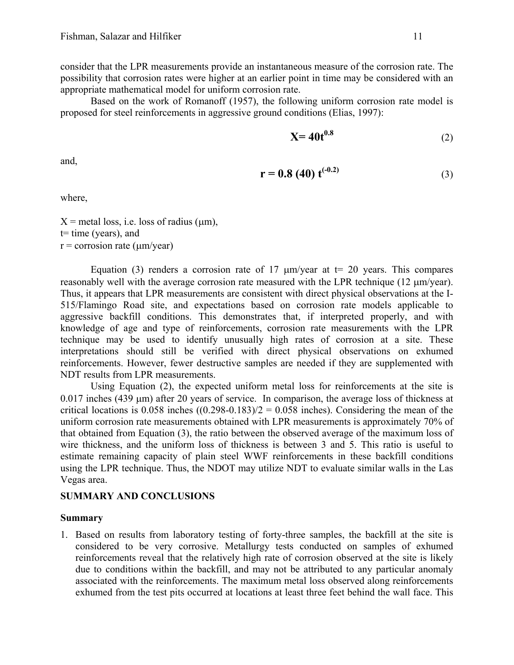consider that the LPR measurements provide an instantaneous measure of the corrosion rate. The possibility that corrosion rates were higher at an earlier point in time may be considered with an appropriate mathematical model for uniform corrosion rate.

Based on the work of Romanoff (1957), the following uniform corrosion rate model is proposed for steel reinforcements in aggressive ground conditions (Elias, 1997):

$$
\mathbf{X} = 40t^{0.8} \tag{2}
$$

and,

$$
r = 0.8 (40) t^{(-0.2)}
$$
 (3)

where,

 $X =$  metal loss, i.e. loss of radius ( $\mu$ m),  $t=$  time (years), and  $r =$  corrosion rate ( $\mu$ m/year)

Equation (3) renders a corrosion rate of 17  $\mu$ m/year at t= 20 years. This compares reasonably well with the average corrosion rate measured with the LPR technique (12 µm/year). Thus, it appears that LPR measurements are consistent with direct physical observations at the I-515/Flamingo Road site, and expectations based on corrosion rate models applicable to aggressive backfill conditions. This demonstrates that, if interpreted properly, and with knowledge of age and type of reinforcements, corrosion rate measurements with the LPR technique may be used to identify unusually high rates of corrosion at a site. These interpretations should still be verified with direct physical observations on exhumed reinforcements. However, fewer destructive samples are needed if they are supplemented with NDT results from LPR measurements.

Using Equation (2), the expected uniform metal loss for reinforcements at the site is 0.017 inches (439 um) after 20 years of service. In comparison, the average loss of thickness at critical locations is  $0.058$  inches  $((0.298-0.183)/2 = 0.058$  inches). Considering the mean of the uniform corrosion rate measurements obtained with LPR measurements is approximately 70% of that obtained from Equation (3), the ratio between the observed average of the maximum loss of wire thickness, and the uniform loss of thickness is between 3 and 5. This ratio is useful to estimate remaining capacity of plain steel WWF reinforcements in these backfill conditions using the LPR technique. Thus, the NDOT may utilize NDT to evaluate similar walls in the Las Vegas area.

## **SUMMARY AND CONCLUSIONS**

## **Summary**

1. Based on results from laboratory testing of forty-three samples, the backfill at the site is considered to be very corrosive. Metallurgy tests conducted on samples of exhumed reinforcements reveal that the relatively high rate of corrosion observed at the site is likely due to conditions within the backfill, and may not be attributed to any particular anomaly associated with the reinforcements. The maximum metal loss observed along reinforcements exhumed from the test pits occurred at locations at least three feet behind the wall face. This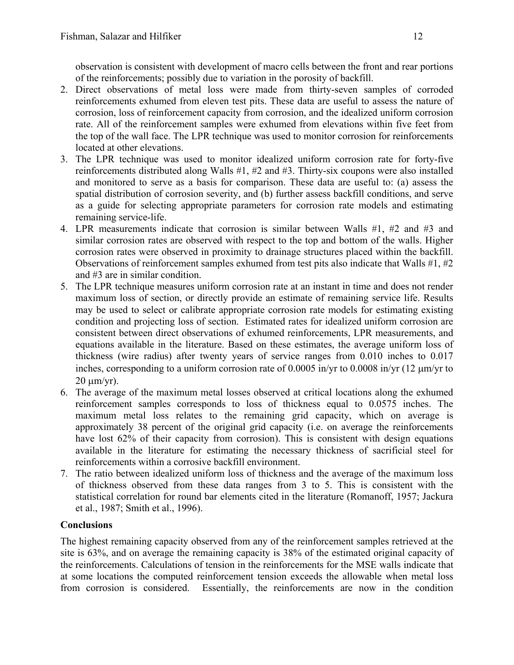observation is consistent with development of macro cells between the front and rear portions of the reinforcements; possibly due to variation in the porosity of backfill.

- 2. Direct observations of metal loss were made from thirty-seven samples of corroded reinforcements exhumed from eleven test pits. These data are useful to assess the nature of corrosion, loss of reinforcement capacity from corrosion, and the idealized uniform corrosion rate. All of the reinforcement samples were exhumed from elevations within five feet from the top of the wall face. The LPR technique was used to monitor corrosion for reinforcements located at other elevations.
- 3. The LPR technique was used to monitor idealized uniform corrosion rate for forty-five reinforcements distributed along Walls #1, #2 and #3. Thirty-six coupons were also installed and monitored to serve as a basis for comparison. These data are useful to: (a) assess the spatial distribution of corrosion severity, and (b) further assess backfill conditions, and serve as a guide for selecting appropriate parameters for corrosion rate models and estimating remaining service-life.
- 4. LPR measurements indicate that corrosion is similar between Walls #1, #2 and #3 and similar corrosion rates are observed with respect to the top and bottom of the walls. Higher corrosion rates were observed in proximity to drainage structures placed within the backfill. Observations of reinforcement samples exhumed from test pits also indicate that Walls #1, #2 and #3 are in similar condition.
- 5. The LPR technique measures uniform corrosion rate at an instant in time and does not render maximum loss of section, or directly provide an estimate of remaining service life. Results may be used to select or calibrate appropriate corrosion rate models for estimating existing condition and projecting loss of section. Estimated rates for idealized uniform corrosion are consistent between direct observations of exhumed reinforcements, LPR measurements, and equations available in the literature. Based on these estimates, the average uniform loss of thickness (wire radius) after twenty years of service ranges from 0.010 inches to 0.017 inches, corresponding to a uniform corrosion rate of 0.0005 in/yr to 0.0008 in/yr (12 µm/yr to  $20 \text{ um/vr}$ .
- 6. The average of the maximum metal losses observed at critical locations along the exhumed reinforcement samples corresponds to loss of thickness equal to 0.0575 inches. The maximum metal loss relates to the remaining grid capacity, which on average is approximately 38 percent of the original grid capacity (i.e. on average the reinforcements have lost 62% of their capacity from corrosion). This is consistent with design equations available in the literature for estimating the necessary thickness of sacrificial steel for reinforcements within a corrosive backfill environment.
- 7. The ratio between idealized uniform loss of thickness and the average of the maximum loss of thickness observed from these data ranges from 3 to 5. This is consistent with the statistical correlation for round bar elements cited in the literature (Romanoff, 1957; Jackura et al., 1987; Smith et al., 1996).

# **Conclusions**

The highest remaining capacity observed from any of the reinforcement samples retrieved at the site is 63%, and on average the remaining capacity is 38% of the estimated original capacity of the reinforcements. Calculations of tension in the reinforcements for the MSE walls indicate that at some locations the computed reinforcement tension exceeds the allowable when metal loss from corrosion is considered. Essentially, the reinforcements are now in the condition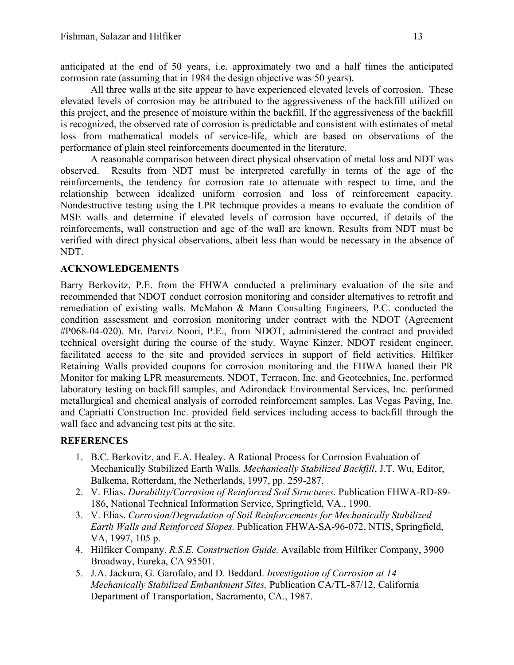anticipated at the end of 50 years, i.e. approximately two and a half times the anticipated corrosion rate (assuming that in 1984 the design objective was 50 years).

All three walls at the site appear to have experienced elevated levels of corrosion. These elevated levels of corrosion may be attributed to the aggressiveness of the backfill utilized on this project, and the presence of moisture within the backfill. If the aggressiveness of the backfill is recognized, the observed rate of corrosion is predictable and consistent with estimates of metal loss from mathematical models of service-life, which are based on observations of the performance of plain steel reinforcements documented in the literature.

A reasonable comparison between direct physical observation of metal loss and NDT was observed. Results from NDT must be interpreted carefully in terms of the age of the reinforcements, the tendency for corrosion rate to attenuate with respect to time, and the relationship between idealized uniform corrosion and loss of reinforcement capacity. Nondestructive testing using the LPR technique provides a means to evaluate the condition of MSE walls and determine if elevated levels of corrosion have occurred, if details of the reinforcements, wall construction and age of the wall are known. Results from NDT must be verified with direct physical observations, albeit less than would be necessary in the absence of NDT.

# **ACKNOWLEDGEMENTS**

Barry Berkovitz, P.E. from the FHWA conducted a preliminary evaluation of the site and recommended that NDOT conduct corrosion monitoring and consider alternatives to retrofit and remediation of existing walls. McMahon & Mann Consulting Engineers, P.C. conducted the condition assessment and corrosion monitoring under contract with the NDOT (Agreement #P068-04-020). Mr. Parviz Noori, P.E., from NDOT, administered the contract and provided technical oversight during the course of the study. Wayne Kinzer, NDOT resident engineer, facilitated access to the site and provided services in support of field activities. Hilfiker Retaining Walls provided coupons for corrosion monitoring and the FHWA loaned their PR Monitor for making LPR measurements. NDOT, Terracon, Inc. and Geotechnics, Inc. performed laboratory testing on backfill samples, and Adirondack Environmental Services, Inc. performed metallurgical and chemical analysis of corroded reinforcement samples. Las Vegas Paving, Inc. and Capriatti Construction Inc. provided field services including access to backfill through the wall face and advancing test pits at the site.

# **REFERENCES**

- 1. B.C. Berkovitz, and E.A. Healey. A Rational Process for Corrosion Evaluation of Mechanically Stabilized Earth Walls. *Mechanically Stabilized Backfill*, J.T. Wu, Editor, Balkema, Rotterdam, the Netherlands, 1997, pp. 259-287.
- 2. V. Elias. *Durability/Corrosion of Reinforced Soil Structures.* Publication FHWA-RD-89- 186, National Technical Information Service, Springfield, VA., 1990.
- 3. V. Elias. *Corrosion/Degradation of Soil Reinforcements for Mechanically Stabilized Earth Walls and Reinforced Slopes.* Publication FHWA-SA-96-072, NTIS, Springfield, VA, 1997, 105 p.
- 4. Hilfiker Company. *R.S.E. Construction Guide.* Available from Hilfiker Company, 3900 Broadway, Eureka, CA 95501.
- 5. J.A. Jackura, G. Garofalo, and D. Beddard. *Investigation of Corrosion at 14 Mechanically Stabilized Embankment Sites,* Publication CA/TL-87/12, California Department of Transportation, Sacramento, CA., 1987.